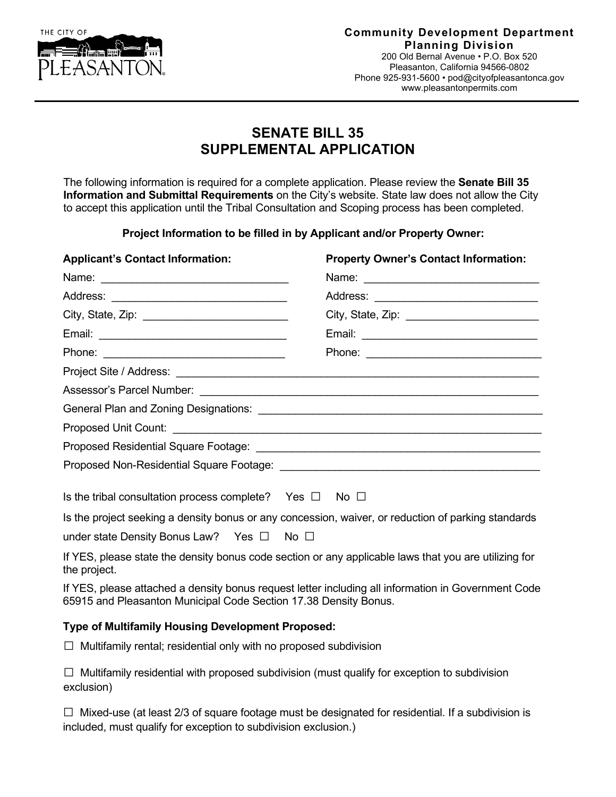

## **Community Development Department Planning Division**

200 Old Bernal Avenue • P.O. Box 520 Pleasanton, California 94566-0802 Phone 925-931-5600 • [pod@cityofpleasantonca.gov](mailto:pod@cityofpleasantonca.gov) www.pleasantonpermits.com

# **SENATE BILL 35 SUPPLEMENTAL APPLICATION**

The following information is required for a complete application. Please review the **Senate Bill 35 Information and Submittal Requirements** on the City's website. State law does not allow the City to accept this application until the Tribal Consultation and Scoping process has been completed.

**Project Information to be filled in by Applicant and/or Property Owner:**

| <b>Property Owner's Contact Information:</b>                                                                                                                            |
|-------------------------------------------------------------------------------------------------------------------------------------------------------------------------|
|                                                                                                                                                                         |
|                                                                                                                                                                         |
|                                                                                                                                                                         |
|                                                                                                                                                                         |
|                                                                                                                                                                         |
|                                                                                                                                                                         |
|                                                                                                                                                                         |
|                                                                                                                                                                         |
|                                                                                                                                                                         |
|                                                                                                                                                                         |
|                                                                                                                                                                         |
| Is the tribal consultation process complete? Yes $\Box$ No $\Box$                                                                                                       |
| Is the project seeking a density bonus or any concession, waiver, or reduction of parking standards                                                                     |
|                                                                                                                                                                         |
| If YES, please state the density bonus code section or any applicable laws that you are utilizing for                                                                   |
| If YES, please attached a density bonus request letter including all information in Government Code<br>65915 and Pleasanton Municipal Code Section 17.38 Density Bonus. |
|                                                                                                                                                                         |

## **Type of Multifamily Housing Development Proposed:**

 $\Box$  Multifamily rental; residential only with no proposed subdivision

 $\Box$  Multifamily residential with proposed subdivision (must qualify for exception to subdivision exclusion)

 $\Box$  Mixed-use (at least 2/3 of square footage must be designated for residential. If a subdivision is included, must qualify for exception to subdivision exclusion.)